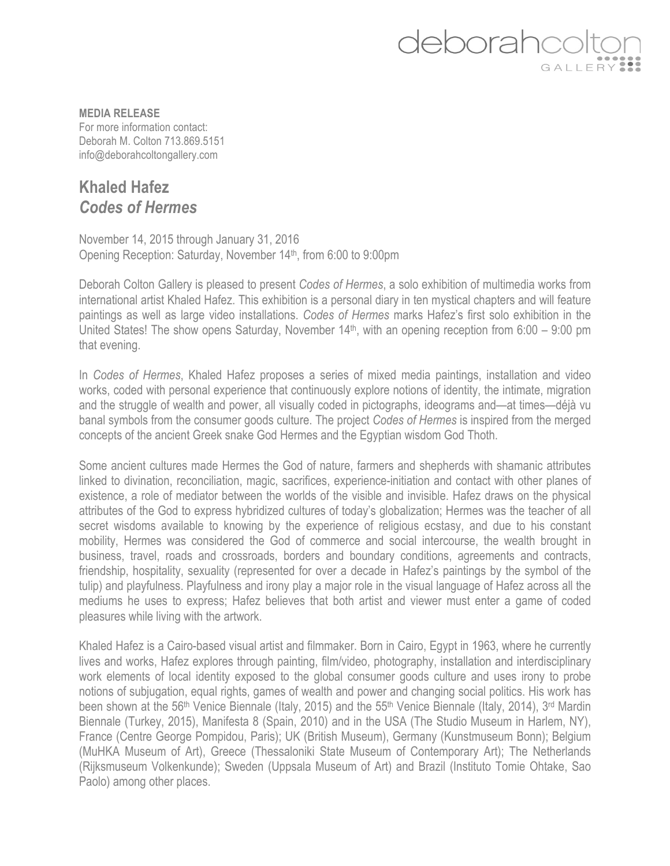

**MEDIA RELEASE** For more information contact: Deborah M. Colton 713.869.5151 info@deborahcoltongallery.com

## **Khaled Hafez** *Codes of Hermes*

November 14, 2015 through January 31, 2016 Opening Reception: Saturday, November 14<sup>th</sup>, from 6:00 to 9:00pm

Deborah Colton Gallery is pleased to present *Codes of Hermes*, a solo exhibition of multimedia works from international artist Khaled Hafez. This exhibition is a personal diary in ten mystical chapters and will feature paintings as well as large video installations. *Codes of Hermes* marks Hafez's first solo exhibition in the United States! The show opens Saturday, November 14<sup>th</sup>, with an opening reception from 6:00 – 9:00 pm that evening.

In *Codes of Hermes*, Khaled Hafez proposes a series of mixed media paintings, installation and video works, coded with personal experience that continuously explore notions of identity, the intimate, migration and the struggle of wealth and power, all visually coded in pictographs, ideograms and—at times—déjà vu banal symbols from the consumer goods culture. The project *Codes of Hermes* is inspired from the merged concepts of the ancient Greek snake God Hermes and the Egyptian wisdom God Thoth.

Some ancient cultures made Hermes the God of nature, farmers and shepherds with shamanic attributes linked to divination, reconciliation, magic, sacrifices, experience-initiation and contact with other planes of existence, a role of mediator between the worlds of the visible and invisible. Hafez draws on the physical attributes of the God to express hybridized cultures of today's globalization; Hermes was the teacher of all secret wisdoms available to knowing by the experience of religious ecstasy, and due to his constant mobility, Hermes was considered the God of commerce and social intercourse, the wealth brought in business, travel, roads and crossroads, borders and boundary conditions, agreements and contracts, friendship, hospitality, sexuality (represented for over a decade in Hafez's paintings by the symbol of the tulip) and playfulness. Playfulness and irony play a major role in the visual language of Hafez across all the mediums he uses to express; Hafez believes that both artist and viewer must enter a game of coded pleasures while living with the artwork.

Khaled Hafez is a Cairo-based visual artist and filmmaker. Born in Cairo, Egypt in 1963, where he currently lives and works, Hafez explores through painting, film/video, photography, installation and interdisciplinary work elements of local identity exposed to the global consumer goods culture and uses irony to probe notions of subjugation, equal rights, games of wealth and power and changing social politics. His work has been shown at the 56<sup>th</sup> Venice Biennale (Italy, 2015) and the 55<sup>th</sup> Venice Biennale (Italy, 2014), 3<sup>rd</sup> Mardin Biennale (Turkey, 2015), Manifesta 8 (Spain, 2010) and in the USA (The Studio Museum in Harlem, NY), France (Centre George Pompidou, Paris); UK (British Museum), Germany (Kunstmuseum Bonn); Belgium (MuHKA Museum of Art), Greece (Thessaloniki State Museum of Contemporary Art); The Netherlands (Rijksmuseum Volkenkunde); Sweden (Uppsala Museum of Art) and Brazil (Instituto Tomie Ohtake, Sao Paolo) among other places.